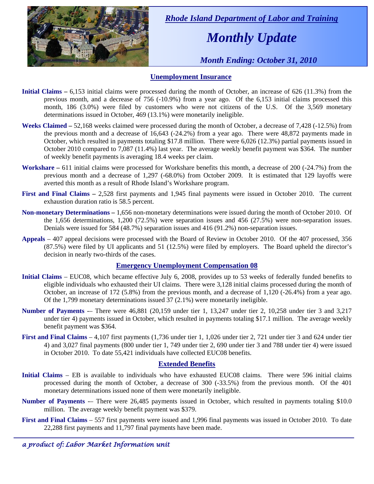

 *Rhode Island Department of Labor and Training* 

# *Monthly Update*

 *Month Ending: October 31, 2010* 

### **Unemployment Insurance**

- **Initial Claims 6,153** initial claims were processed during the month of October, an increase of 626 (11.3%) from the previous month, and a decrease of 756 (-10.9%) from a year ago. Of the 6,153 initial claims processed this month, 186 (3.0%) were filed by customers who were not citizens of the U.S. Of the 3,569 monetary determinations issued in October, 469 (13.1%) were monetarily ineligible.
- **Weeks Claimed** 52,168 weeks claimed were processed during the month of October, a decrease of 7,428 (-12.5%) from the previous month and a decrease of 16,643 (-24.2%) from a year ago. There were 48,872 payments made in October, which resulted in payments totaling \$17.8 million. There were 6,026 (12.3%) partial payments issued in October 2010 compared to 7,087 (11.4%) last year. The average weekly benefit payment was \$364. The number of weekly benefit payments is averaging 18.4 weeks per claim.
- **Workshare –** 611 initial claims were processed for Workshare benefits this month, a decrease of 200 (-24.7%) from the previous month and a decrease of 1,297 (-68.0%) from October 2009. It is estimated that 129 layoffs were averted this month as a result of Rhode Island's Workshare program.
- **First and Final Claims –** 2,528 first payments and 1,945 final payments were issued in October 2010. The current exhaustion duration ratio is 58.5 percent.
- **Non-monetary Determinations –** 1,656 non-monetary determinations were issued during the month of October 2010. Of the 1,656 determinations, 1,200 (72.5%) were separation issues and 456 (27.5%) were non-separation issues. Denials were issued for 584 (48.7%) separation issues and 416 (91.2%) non-separation issues.
- **Appeals** 407 appeal decisions were processed with the Board of Review in October 2010. Of the 407 processed, 356 (87.5%) were filed by UI applicants and 51 (12.5%) were filed by employers. The Board upheld the director's decision in nearly two-thirds of the cases.

#### **Emergency Unemployment Compensation 08**

- **Initial Claims**  EUC08, which became effective July 6, 2008, provides up to 53 weeks of federally funded benefits to eligible individuals who exhausted their UI claims. There were 3,128 initial claims processed during the month of October, an increase of 172 (5.8%) from the previous month, and a decrease of 1,120 (-26.4%) from a year ago. Of the 1,799 monetary determinations issued  $\overline{37}$  (2.1%) were monetarily ineligible.
- **Number of Payments** There were 46,881 (20,159 under tier 1, 13,247 under tier 2, 10,258 under tier 3 and 3,217 under tier 4) payments issued in October, which resulted in payments totaling \$17.1 million. The average weekly benefit payment was \$364.
- **First and Final Claims**  4,107 first payments (1,736 under tier 1, 1,026 under tier 2, 721 under tier 3 and 624 under tier 4) and 3,027 final payments (800 under tier 1, 749 under tier 2, 690 under tier 3 and 788 under tier 4) were issued in October 2010. To date 55,421 individuals have collected EUC08 benefits.

#### **Extended Benefits**

- **Initial Claims**  EB is available to individuals who have exhausted EUC08 claims. There were 596 initial claims processed during the month of October, a decrease of 300 (-33.5%) from the previous month. Of the 401 monetary determinations issued none of them were monetarily ineligible.
- **Number of Payments** -– There were 26,485 payments issued in October, which resulted in payments totaling \$10.0 million. The average weekly benefit payment was \$379.
- **First and Final Claims**  557 first payments were issued and 1,996 final payments was issued in October 2010. To date 22,288 first payments and 11,797 final payments have been made.